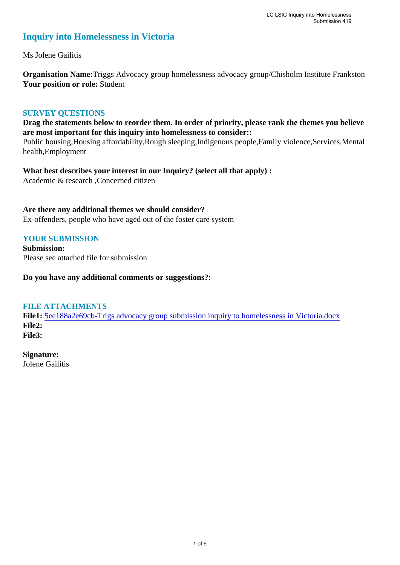# **Inquiry into Homelessness in Victoria**

Ms Jolene Gailitis

**Organisation Name:**Triggs Advocacy group homelessness advocacy group/Chisholm Institute Frankston **Your position or role:** Student

#### **SURVEY QUESTIONS**

**Drag the statements below to reorder them. In order of priority, please rank the themes you believe are most important for this inquiry into homelessness to consider::** 

Public housing,Housing affordability,Rough sleeping,Indigenous people,Family violence,Services,Mental health,Employment

**What best describes your interest in our Inquiry? (select all that apply) :**  Academic & research ,Concerned citizen

#### **Are there any additional themes we should consider?**

Ex-offenders, people who have aged out of the foster care system

#### **YOUR SUBMISSION**

**Submission:**  Please see attached file for submission

**Do you have any additional comments or suggestions?:** 

#### **FILE ATTACHMENTS**

**File1:** 5ee188a2e69cb-Trigs advocacy group submission inquiry to homelessness in Victoria.docx **File2: File3:** 

**Signature:**

Jolene Gailitis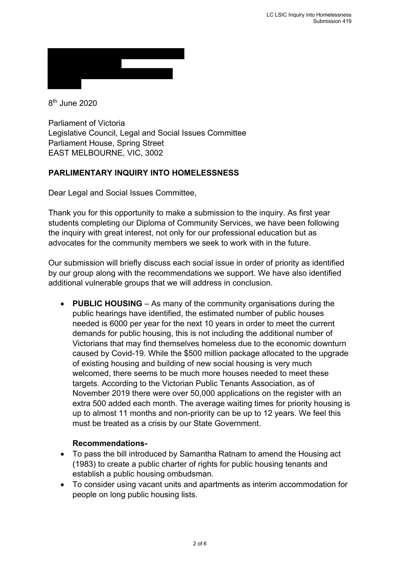8th June 2020

Parliament of Victoria Legislative Council, Legal and Social Issues Committee Parliament House, Spring Street EAST MELBOURNE, VIC, 3002

## **PARLIMENTARY INQUIRY INTO HOMELESSNESS**

Dear Legal and Social Issues Committee,

Thank you for this opportunity to make a submission to the inquiry. As first year students completing our Diploma of Community Services, we have been following the inquiry with great interest, not only for our professional education but as advocates for the community members we seek to work with in the future.

Our submission will briefly discuss each social issue in order of priority as identified by our group along with the recommendations we support. We have also identified additional vulnerable groups that we will address in conclusion.

• **PUBLIC HOUSING** – As many of the community organisations during the public hearings have identified, the estimated number of public houses needed is 6000 per year for the next 10 years in order to meet the current demands for public housing, this is not including the additional number of Victorians that may find themselves homeless due to the economic downturn caused by Covid-19. While the \$500 million package allocated to the upgrade of existing housing and building of new social housing is very much welcomed, there seems to be much more houses needed to meet these targets. According to the Victorian Public Tenants Association, as of November 2019 there were over 50,000 applications on the register with an extra 500 added each month. The average waiting times for priority housing is up to almost 11 months and non-priority can be up to 12 years. We feel this must be treated as a crisis by our State Government.

- To pass the bill introduced by Samantha Ratnam to amend the Housing act (1983) to create a public charter of rights for public housing tenants and establish a public housing ombudsman.
- To consider using vacant units and apartments as interim accommodation for people on long public housing lists.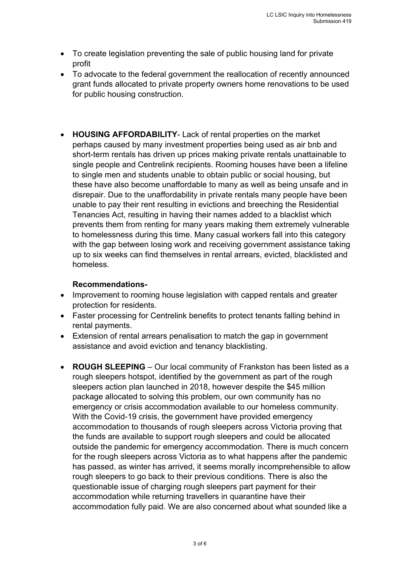- To create legislation preventing the sale of public housing land for private profit
- To advocate to the federal government the reallocation of recently announced grant funds allocated to private property owners home renovations to be used for public housing construction.
- **HOUSING AFFORDABILITY** Lack of rental properties on the market perhaps caused by many investment properties being used as air bnb and short-term rentals has driven up prices making private rentals unattainable to single people and Centrelink recipients. Rooming houses have been a lifeline to single men and students unable to obtain public or social housing, but these have also become unaffordable to many as well as being unsafe and in disrepair. Due to the unaffordability in private rentals many people have been unable to pay their rent resulting in evictions and breeching the Residential Tenancies Act, resulting in having their names added to a blacklist which prevents them from renting for many years making them extremely vulnerable to homelessness during this time. Many casual workers fall into this category with the gap between losing work and receiving government assistance taking up to six weeks can find themselves in rental arrears, evicted, blacklisted and homeless.

- Improvement to rooming house legislation with capped rentals and greater protection for residents.
- Faster processing for Centrelink benefits to protect tenants falling behind in rental payments.
- Extension of rental arrears penalisation to match the gap in government assistance and avoid eviction and tenancy blacklisting.
- **ROUGH SLEEPING** Our local community of Frankston has been listed as a rough sleepers hotspot, identified by the government as part of the rough sleepers action plan launched in 2018, however despite the \$45 million package allocated to solving this problem, our own community has no emergency or crisis accommodation available to our homeless community. With the Covid-19 crisis, the government have provided emergency accommodation to thousands of rough sleepers across Victoria proving that the funds are available to support rough sleepers and could be allocated outside the pandemic for emergency accommodation. There is much concern for the rough sleepers across Victoria as to what happens after the pandemic has passed, as winter has arrived, it seems morally incomprehensible to allow rough sleepers to go back to their previous conditions. There is also the questionable issue of charging rough sleepers part payment for their accommodation while returning travellers in quarantine have their accommodation fully paid. We are also concerned about what sounded like a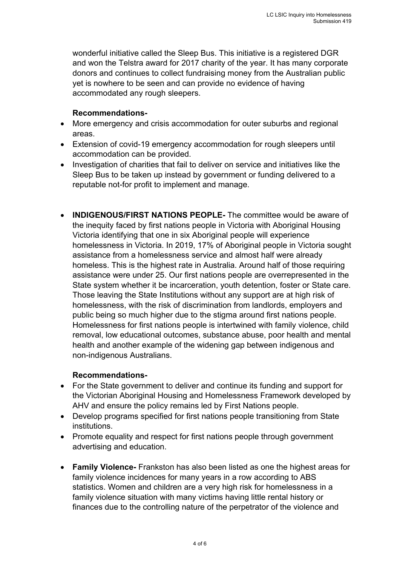wonderful initiative called the Sleep Bus. This initiative is a registered DGR and won the Telstra award for 2017 charity of the year. It has many corporate donors and continues to collect fundraising money from the Australian public yet is nowhere to be seen and can provide no evidence of having accommodated any rough sleepers.

#### **Recommendations-**

- More emergency and crisis accommodation for outer suburbs and regional areas.
- Extension of covid-19 emergency accommodation for rough sleepers until accommodation can be provided.
- Investigation of charities that fail to deliver on service and initiatives like the Sleep Bus to be taken up instead by government or funding delivered to a reputable not-for profit to implement and manage.
- **INDIGENOUS/FIRST NATIONS PEOPLE-** The committee would be aware of the inequity faced by first nations people in Victoria with Aboriginal Housing Victoria identifying that one in six Aboriginal people will experience homelessness in Victoria. In 2019, 17% of Aboriginal people in Victoria sought assistance from a homelessness service and almost half were already homeless. This is the highest rate in Australia. Around half of those requiring assistance were under 25. Our first nations people are overrepresented in the State system whether it be incarceration, youth detention, foster or State care. Those leaving the State Institutions without any support are at high risk of homelessness, with the risk of discrimination from landlords, employers and public being so much higher due to the stigma around first nations people. Homelessness for first nations people is intertwined with family violence, child removal, low educational outcomes, substance abuse, poor health and mental health and another example of the widening gap between indigenous and non-indigenous Australians.

- For the State government to deliver and continue its funding and support for the Victorian Aboriginal Housing and Homelessness Framework developed by AHV and ensure the policy remains led by First Nations people.
- Develop programs specified for first nations people transitioning from State institutions.
- Promote equality and respect for first nations people through government advertising and education.
- **Family Violence-** Frankston has also been listed as one the highest areas for family violence incidences for many years in a row according to ABS statistics. Women and children are a very high risk for homelessness in a family violence situation with many victims having little rental history or finances due to the controlling nature of the perpetrator of the violence and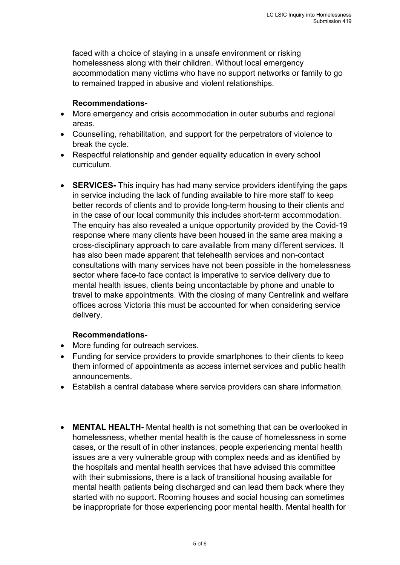faced with a choice of staying in a unsafe environment or risking homelessness along with their children. Without local emergency accommodation many victims who have no support networks or family to go to remained trapped in abusive and violent relationships.

## **Recommendations-**

- More emergency and crisis accommodation in outer suburbs and regional areas.
- Counselling, rehabilitation, and support for the perpetrators of violence to break the cycle.
- Respectful relationship and gender equality education in every school curriculum.
- **SERVICES-** This inquiry has had many service providers identifying the gaps in service including the lack of funding available to hire more staff to keep better records of clients and to provide long-term housing to their clients and in the case of our local community this includes short-term accommodation. The enquiry has also revealed a unique opportunity provided by the Covid-19 response where many clients have been housed in the same area making a cross-disciplinary approach to care available from many different services. It has also been made apparent that telehealth services and non-contact consultations with many services have not been possible in the homelessness sector where face-to face contact is imperative to service delivery due to mental health issues, clients being uncontactable by phone and unable to travel to make appointments. With the closing of many Centrelink and welfare offices across Victoria this must be accounted for when considering service delivery.

- More funding for outreach services.
- Funding for service providers to provide smartphones to their clients to keep them informed of appointments as access internet services and public health announcements.
- Establish a central database where service providers can share information.
- **MENTAL HEALTH-** Mental health is not something that can be overlooked in homelessness, whether mental health is the cause of homelessness in some cases, or the result of in other instances, people experiencing mental health issues are a very vulnerable group with complex needs and as identified by the hospitals and mental health services that have advised this committee with their submissions, there is a lack of transitional housing available for mental health patients being discharged and can lead them back where they started with no support. Rooming houses and social housing can sometimes be inappropriate for those experiencing poor mental health. Mental health for